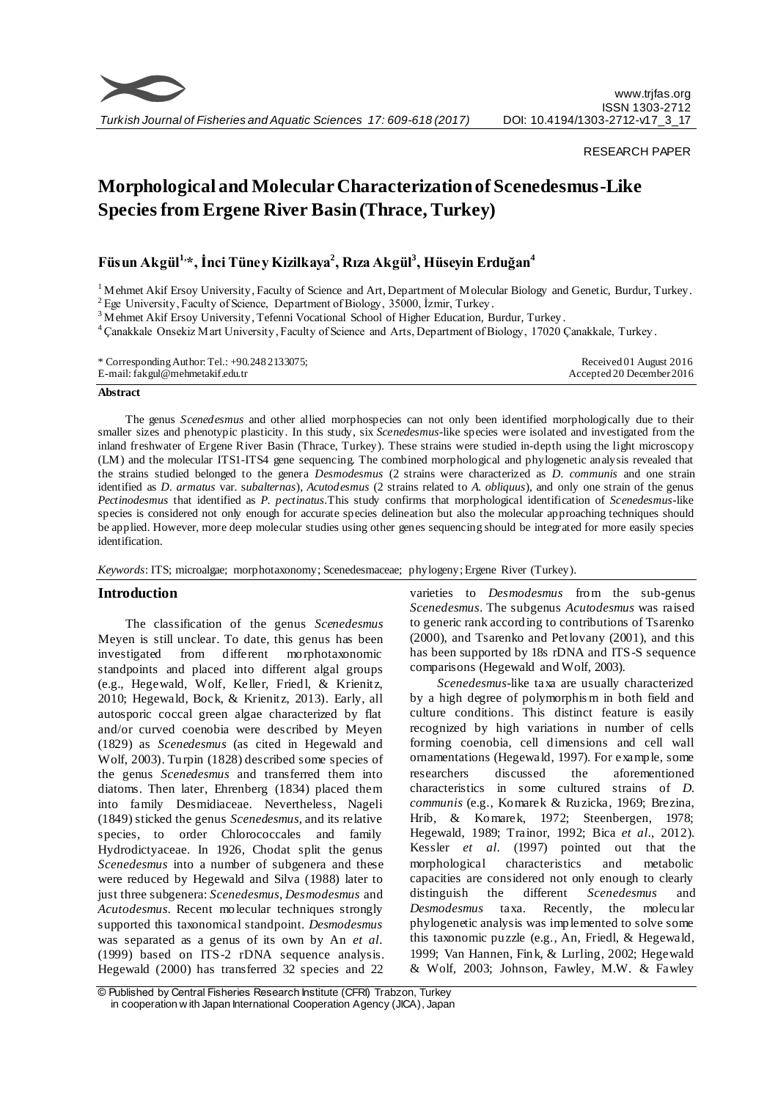

## RESEARCH PAPER

# **Morphological and Molecular Characterization of Scenedesmus-Like Species from Ergene River Basin (Thrace, Turkey)**

## **Füsun Akgül1, \*, İnci Tüney Kizilkaya<sup>2</sup> , Rıza Akgül<sup>3</sup> , Hüseyin Erduğan<sup>4</sup>**

 $1$ Mehmet Akif Ersoy University, Faculty of Science and Art, Department of Molecular Biology and Genetic, Burdur, Turkey.

<sup>2</sup> Ege University, Faculty of Science, Department of Biology, 35000, İzmir, Turkey.

<sup>3</sup> Mehmet Akif Ersoy University, Tefenni Vocational School of Higher Education, Burdur, Turkey.

<sup>4</sup>Çanakkale Onsekiz Mart University, Faculty of Science and Arts, Department of Biology, 17020 Çanakkale, Turkey .

| * Corresponding Author: Tel.: $+90.2482133075$ ; | Received 01 August 2016   |
|--------------------------------------------------|---------------------------|
| E-mail: fakgul@mehmetakif.edu.tr                 | Accepted 20 December 2016 |

## **Abstract**

The genus *Scenedesmus* and other allied morphospecies can not only been identified morphologically due to their smaller sizes and phenotypic plasticity. In this study, six *Scenedesmus*-like species were isolated and investigated from the inland freshwater of Ergene River Basin (Thrace, Turkey). These strains were studied in-depth using the light microscopy (LM) and the molecular ITS1-ITS4 gene sequencing. The combined morphological and phylogenetic analysis revealed that the strains studied belonged to the genera *Desmodesmus* (2 strains were characterized as *D. communis* and one strain identified as *D. armatus* var. s*ubalternas*), *Acutodesmus* (2 strains related to *A. obliquus*), and only one strain of the genus *Pectinodesmus* that identified as *P. pectinatus.*This study confirms that morphological identification of *Scenedesmus*-like species is considered not only enough for accurate species delineation but also the molecular approaching techniques should be applied. However, more deep molecular studies using other genes sequencing should be integrated for more easily species identification.

*Keywords*: ITS; microalgae; morphotaxonomy; Scenedesmaceae; phylogeny; Ergene River (Turkey).

## **Introduction**

The classification of the genus *Scenedesmus* Meyen is still unclear. To date, this genus has been investigated from different morphotaxonomic standpoints and placed into different algal groups (e.g., Hegewald, Wolf, Keller, Friedl, & Krienitz, 2010; Hegewald, Bock, & Krienitz, 2013). Early, all autosporic coccal green algae characterized by flat and/or curved coenobia were described by Meyen (1829) as *Scenedesmus* (as cited in Hegewald and Wolf, 2003). Turpin (1828) described some species of the genus *Scenedesmus* and transferred them into diatoms. Then later, Ehrenberg (1834) placed them into family Desmidiaceae. Nevertheless, Nageli (1849) sticked the genus *Scenedesmus*, and its relative species, to order Chlorococcales and family Hydrodictyaceae. In 1926, Chodat split the genus *Scenedesmus* into a number of subgenera and these were reduced by Hegewald and Silva (1988) later to just three subgenera: *Scenedesmus*, *Desmodesmus* and *Acutodesmus*. Recent molecular techniques strongly supported this taxonomical standpoint. *Desmodesmus* was separated as a genus of its own by An *et al.* (1999) based on ITS-2 rDNA sequence analysis. Hegewald (2000) has transferred 32 species and 22 varieties to *Desmodesmus* from the sub-genus *Scenedesmus*. The subgenus *Acutodesmus* was raised to generic rank according to contributions of Tsarenko (2000), and Tsarenko and Petlovany (2001), and this has been supported by 18s rDNA and ITS-S sequence comparisons (Hegewald and Wolf, 2003).

*Scenedesmus-*like taxa are usually characterized by a high degree of polymorphis m in both field and culture conditions. This distinct feature is easily recognized by high variations in number of cells forming coenobia, cell dimensions and cell wall ornamentations (Hegewald, 1997). For example, some researchers discussed the aforementioned characteristics in some cultured strains of *D*. *communis* (e.g., Komarek & Ruzicka, 1969; Brezina, Hrib, & Komarek, 1972; Steenbergen, 1978; Hegewald, 1989; Trainor, 1992; Bica *et al.*, 2012). Kessler *et al.* (1997) pointed out that the morphological characteristics and metabolic capacities are considered not only enough to clearly distinguish the different *Scenedesmus* and *Desmodesmus* taxa. Recently, the molecular phylogenetic analysis was implemented to solve some this taxonomic puzzle (e.g., An, Friedl, & Hegewald, 1999; Van Hannen, Fink, & Lurling, 2002; Hegewald & Wolf, 2003; Johnson, Fawley, M.W. & Fawley

<sup>©</sup> Published by Central Fisheries Research Institute (CFRI) Trabzon, Turkey in cooperation w ith Japan International Cooperation Agency (JICA), Japan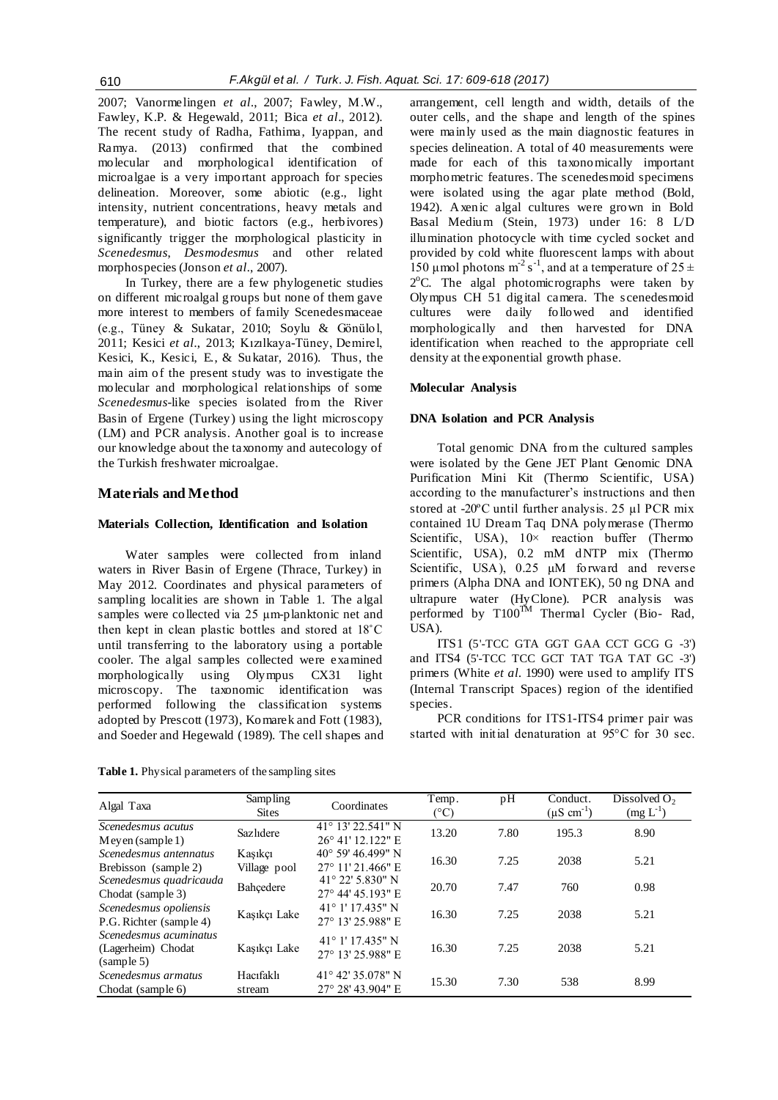2007; Vanormelingen *et al.*, 2007; Fawley, M.W., Fawley, K.P. & Hegewald, 2011; Bica *et al*., 2012). The recent study of Radha, Fathima, Iyappan, and Ramya. (2013) confirmed that the combined molecular and morphological identification of microalgae is a very important approach for species delineation. Moreover, some abiotic (e.g., light intensity, nutrient concentrations, heavy metals and temperature), and biotic factors (e.g., herbivores) significantly trigger the morphological plasticity in *Scenedesmus*, *Desmodesmus* and other related morphospecies (Jonson *et al.*, 2007).

In Turkey, there are a few phylogenetic studies on different microalgal groups but none of them gave more interest to members of family Scenedesmaceae (e.g., Tüney & Sukatar, 2010; Soylu & Gönülol, 2011; Kesici *et al.*, 2013; Kızılkaya-Tüney, Demirel, Kesici, K., Kesici, E., & Sukatar, 2016). Thus, the main aim of the present study was to investigate the molecular and morphological relationships of some *Scenedesmus*-like species isolated from the River Basin of Ergene (Turkey) using the light microscopy (LM) and PCR analysis. Another goal is to increase our knowledge about the taxonomy and autecology of the Turkish freshwater microalgae.

## **Materials and Method**

### **Materials Collection, Identification and Isolation**

Water samples were collected from inland waters in River Basin of Ergene (Thrace, Turkey) in May 2012. Coordinates and physical parameters of sampling localities are shown in Table 1. The algal samples were collected via 25 µm-planktonic net and then kept in clean plastic bottles and stored at 18˚C until transferring to the laboratory using a portable cooler. The algal samples collected were examined morphologically using Olympus CX31 light microscopy. The taxonomic identification was performed following the classification systems adopted by Prescott (1973), Komarek and Fott (1983), and Soeder and Hegewald (1989). The cell shapes and

**Table 1.** Physical parameters of the sampling sites

arrangement, cell length and width, details of the outer cells, and the shape and length of the spines were mainly used as the main diagnostic features in species delineation. A total of 40 measurements were made for each of this taxonomically important morphometric features. The scenedesmoid specimens were isolated using the agar plate method (Bold, 1942). Axenic algal cultures were grown in Bold Basal Medium (Stein, 1973) under 16: 8 L/D illumination photocycle with time cycled socket and provided by cold white fluorescent lamps with about 150 μmol photons m<sup>-2</sup> s<sup>-1</sup>, and at a temperature of 25  $\pm$ 2°C. The algal photomicrographs were taken by Olympus CH 51 digital camera. The scenedesmoid cultures were daily followed and identified morphologically and then harvested for DNA identification when reached to the appropriate cell density at the exponential growth phase.

### **Molecular Analysis**

## **DNA Isolation and PCR Analysis**

Total genomic DNA from the cultured samples were isolated by the Gene JET Plant Genomic DNA Purification Mini Kit (Thermo Scientific, USA) according to the manufacturer's instructions and then stored at -20ºC until further analysis. 25 µl PCR mix contained 1U Dream Taq DNA polymerase (Thermo Scientific, USA),  $10 \times$  reaction buffer (Thermo Scientific, USA), 0.2 mM dNTP mix (Thermo Scientific, USA), 0.25 μM forward and reverse primers (Alpha DNA and IONTEK), 50 ng DNA and ultrapure water (HyClone). PCR analysis was performed by T100<sup>TM</sup> Thermal Cycler (Bio- Rad, USA).

ITS1 (5'-TCC GTA GGT GAA CCT GCG G -3') and ITS4 (5'-TCC TCC GCT TAT TGA TAT GC -3') primers (White *et al.* 1990) were used to amplify ITS (Internal Transcript Spaces) region of the identified species.

PCR conditions for ITS1-ITS4 primer pair was started with initial denaturation at 95°C for 30 sec.

| Algal Taxa                                                 | Sampling<br><b>Sites</b> | Coordinates                                     | Temp.<br>$(^\circ C)$ | pH   | Conduct.<br>$(\mu S \text{ cm}^{-1})$ | Dissolved $O2$<br>$(mg L^{-1})$ |
|------------------------------------------------------------|--------------------------|-------------------------------------------------|-----------------------|------|---------------------------------------|---------------------------------|
| Scenedesmus acutus<br>$Meyen$ (sample 1)                   | Sazlidere                | $41^{\circ}$ 13' 22.541" N<br>26° 41' 12.122" E | 13.20                 | 7.80 | 195.3                                 | 8.90                            |
| Scenedesmus antennatus<br>Brebisson (sample 2)             | Kasıkçı<br>Village pool  | 40° 59' 46.499" N<br>27° 11' 21.466" E          | 16.30                 | 7.25 | 2038                                  | 5.21                            |
| Scenedesmus quadricauda<br>Chodat (sample 3)               | Bahçedere                | $41^{\circ}$ 22' 5.830" N<br>27° 44' 45.193" E  | 20.70                 | 7.47 | 760                                   | 0.98                            |
| Scenedesmus opoliensis<br>P.G. Richter (sample 4)          | Kaşıkçı Lake             | $41^{\circ}$ 1' 17.435" N<br>27° 13' 25.988" E  | 16.30                 | 7.25 | 2038                                  | 5.21                            |
| Scenedesmus acuminatus<br>(Lagerheim) Chodat<br>(sample 5) | Kaşıkçı Lake             | $41^{\circ}$ 1' 17.435" N<br>27° 13' 25.988" E  | 16.30                 | 7.25 | 2038                                  | 5.21                            |
| Scenedesmus armatus<br>Chodat (sample 6)                   | Hacıfaklı<br>stream      | $41^{\circ}$ 42' 35.078" N<br>27° 28′ 43.904″ E | 15.30                 | 7.30 | 538                                   | 8.99                            |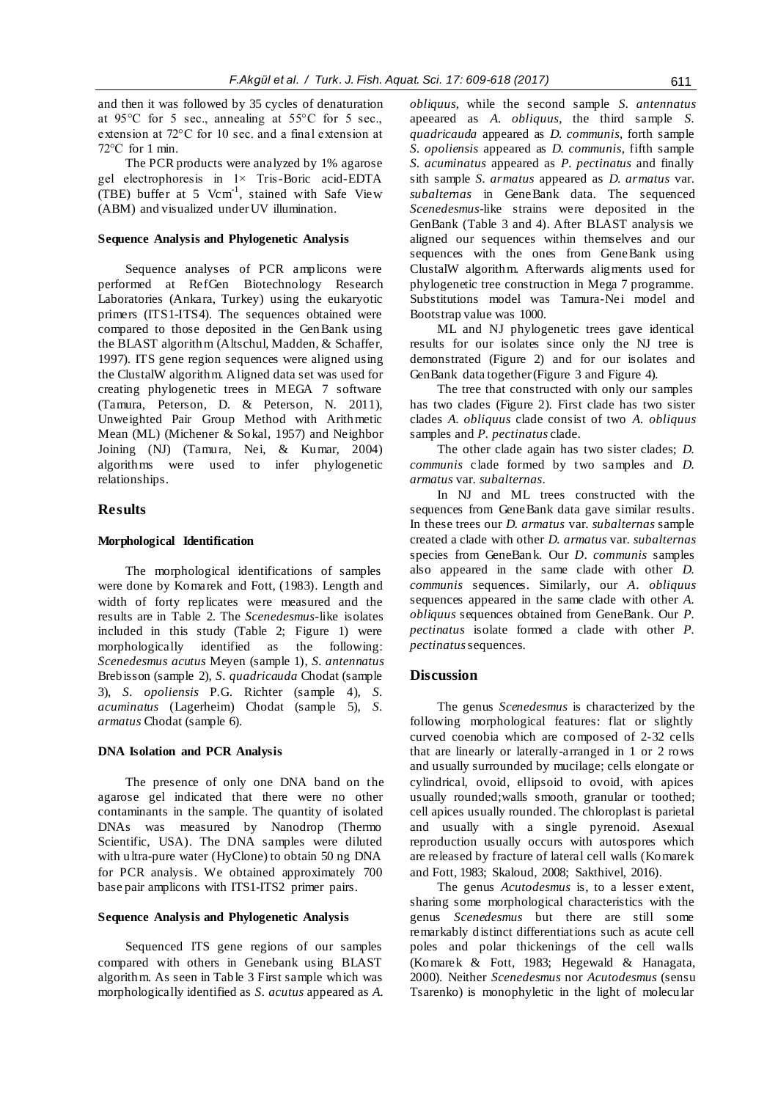and then it was followed by 35 cycles of denaturation at 95°C for 5 sec., annealing at 55°C for 5 sec., extension at 72°C for 10 sec. and a final extension at 72°C for 1 min.

The PCR products were analyzed by 1% agarose gel electrophoresis in  $1 \times$  Tris-Boric acid-EDTA (TBE) buffer at 5  $Vcm^{-1}$ , stained with Safe View (ABM) and visualized under UV illumination.

## **Sequence Analysis and Phylogenetic Analysis**

Sequence analyses of PCR amplicons were performed at RefGen Biotechnology Research Laboratories (Ankara, Turkey) using the eukaryotic primers (ITS1-ITS4). The sequences obtained were compared to those deposited in the GenBank using the BLAST algorithm (Altschul, Madden, & Schaffer, 1997). ITS gene region sequences were aligned using the ClustalW algorithm. Aligned data set was used for creating phylogenetic trees in MEGA 7 software (Tamura, Peterson, D. & Peterson, N. 2011), Unweighted Pair Group Method with Arithmetic Mean (ML) (Michener & Sokal, 1957) and Neighbor Joining (NJ) (Tamura, Nei, & Kumar, 2004) algorithms were used to infer phylogenetic relationships.

## **Results**

#### **Morphological Identification**

The morphological identifications of samples were done by Komarek and Fott, (1983). Length and width of forty replicates were measured and the results are in Table 2. The *Scenedesmus*-like isolates included in this study (Table 2; Figure 1) were morphologically identified as the following: *Scenedesmus acutus* Meyen (sample 1), *S. antennatus*  Brebisson (sample 2), *S. quadricauda* Chodat (sample 3), *S. opoliensis* P.G. Richter (sample 4), *S. acuminatus* (Lagerheim) Chodat (sample 5), *S. armatus* Chodat (sample 6).

## **DNA Isolation and PCR Analysis**

The presence of only one DNA band on the agarose gel indicated that there were no other contaminants in the sample. The quantity of isolated DNAs was measured by Nanodrop (Thermo Scientific, USA). The DNA samples were diluted with ultra-pure water (HyClone) to obtain 50 ng DNA for PCR analysis. We obtained approximately 700 base pair amplicons with ITS1-ITS2 primer pairs.

#### **Sequence Analysis and Phylogenetic Analysis**

Sequenced ITS gene regions of our samples compared with others in Genebank using BLAST algorithm. As seen in Table 3 First sample which was morphologically identified as *S. acutus* appeared as *A.*  *obliquus*, while the second sample *S. antennatus* apeeared as *A. obliquus*, the third sample *S. quadricauda* appeared as *D. communis*, forth sample *S. opoliensis* appeared as *D. communis*, fifth sample *S. acuminatus* appeared as *P. pectinatus* and finally sith sample *S. armatus* appeared as *D. armatus* var. *subalternas* in GeneBank data. The sequenced *Scenedesmus*-like strains were deposited in the GenBank (Table 3 and 4). After BLAST analysis we aligned our sequences within themselves and our sequences with the ones from GeneBank using ClustalW algorithm. Afterwards aligments used for phylogenetic tree construction in Mega 7 programme. Substitutions model was Tamura-Nei model and Bootstrap value was 1000.

ML and NJ phylogenetic trees gave identical results for our isolates since only the NJ tree is demonstrated (Figure 2) and for our isolates and GenBank data together (Figure 3 and Figure 4).

The tree that constructed with only our samples has two clades (Figure 2). First clade has two sister clades *A. obliquus* clade consist of two *A. obliquus* samples and *P. pectinatus* clade.

The other clade again has two sister clades; *D. communis* clade formed by two samples and *D. armatus* var. *subalternas*.

In NJ and ML trees constructed with the sequences from GeneBank data gave similar results. In these trees our *D. armatus* var. *subalternas* sample created a clade with other *D. armatus* var. *subalternas* species from GeneBank. Our *D. communis* samples also appeared in the same clade with other *D. communis* sequences. Similarly, our *A. obliquus* sequences appeared in the same clade with other *A. obliquus* sequences obtained from GeneBank. Our *P. pectinatus* isolate formed a clade with other *P. pectinatus* sequences.

## **Discussion**

The genus *Scenedesmus* is characterized by the following morphological features: flat or slightly curved coenobia which are composed of 2-32 cells that are linearly or laterally-arranged in 1 or 2 rows and usually surrounded by mucilage; cells elongate or cylindrical, ovoid, ellipsoid to ovoid, with apices usually rounded;walls smooth, granular or toothed; cell apices usually rounded. The chloroplast is parietal and usually with a single pyrenoid. Asexual reproduction usually occurs with autospores which are released by fracture of lateral cell walls (Komarek and Fott, 1983; Skaloud, 2008; Sakthivel, 2016).

The genus *Acutodesmus* is, to a lesser extent, sharing some morphological characteristics with the genus *Scenedesmus* but there are still some remarkably distinct differentiations such as acute cell poles and polar thickenings of the cell walls (Komarek & Fott, 1983; Hegewald & Hanagata, 2000). Neither *Scenedesmus* nor *Acutodesmus* (sensu Tsarenko) is monophyletic in the light of molecular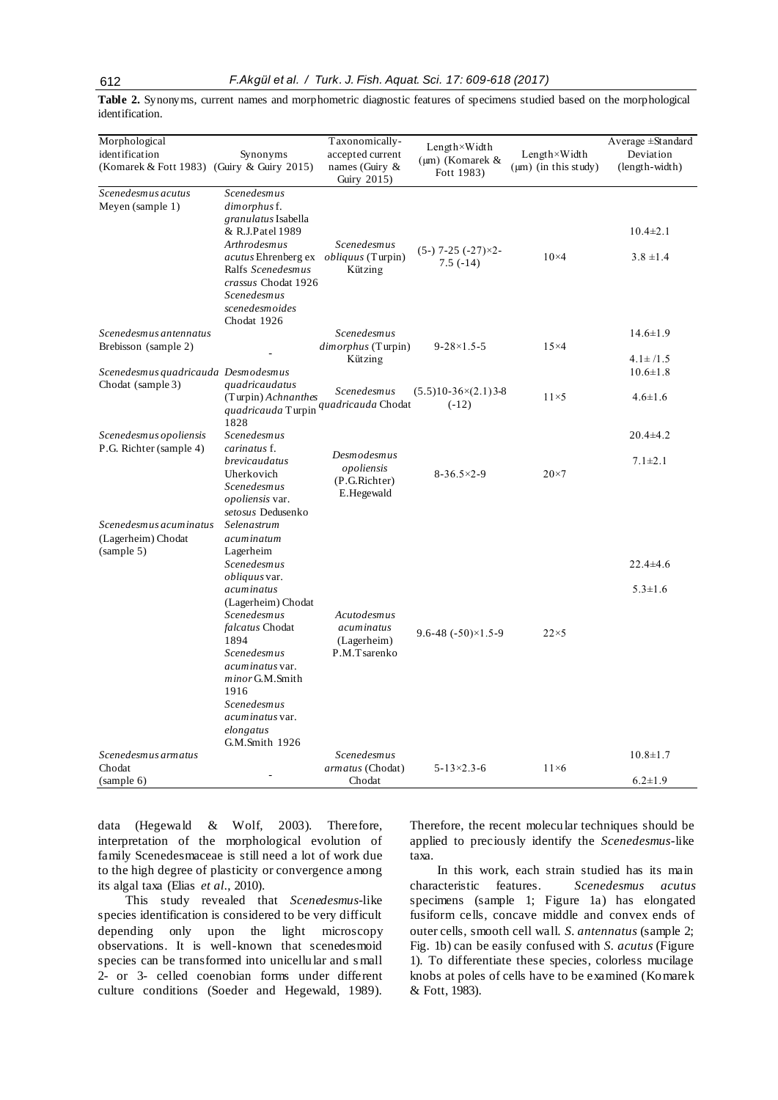**Table 2.** Synonyms, current names and morphometric diagnostic features of specimens studied based on the morphological identification.

| Morphological<br>identification<br>(Komarek & Fott 1983) (Guiry & Guiry 2015) | Synonyms                                                                                                                                                                                                                                                                                  | Taxonomically-<br>accepted current<br>names (Guiry $\&$<br>Guiry 2015) | $Length \times Width$<br>$(\mu m)$ (Komarek &<br>Fott 1983) | Length×Width<br>$(\mu m)$ (in this study) | Average ±Standard<br>Deviation<br>(length-width) |
|-------------------------------------------------------------------------------|-------------------------------------------------------------------------------------------------------------------------------------------------------------------------------------------------------------------------------------------------------------------------------------------|------------------------------------------------------------------------|-------------------------------------------------------------|-------------------------------------------|--------------------------------------------------|
| Scenedesmus acutus<br>Meyen (sample 1)                                        | Scenedesmus<br>dimorphus f.<br>granulatus Isabella<br>& R.J.Patel 1989<br>Arthrodesmus<br><i>acutus</i> Ehrenberg ex <i>obliquus</i> (Turpin)<br>Ralfs Scenedesmus<br>crassus Chodat 1926<br><b>Scenedesmus</b><br>scenedesmoides                                                         | Scenedesmus<br>Kützing                                                 | $(5-)$ 7-25 $(-27) \times 2$<br>$7.5(-14)$                  | $10\times4$                               | $10.4 \pm 2.1$<br>$3.8 \pm 1.4$                  |
| Scenedesmus antennatus<br>Brebisson (sample 2)                                | Chodat 1926                                                                                                                                                                                                                                                                               | <b>Scenedesmus</b><br>$dimorphism$ (Turpin)<br>Kützing                 | $9 - 28 \times 1.5 - 5$                                     | $15\times4$                               | $14.6 \pm 1.9$<br>$4.1 \pm 1.5$                  |
| Scenedesmus quadricauda Desmodesmus<br>Chodat (sample 3)                      | quadricaudatus<br>(Turpin) Achnanthes<br>quadricauda Turpin <sup>quadricauda</sup> Chodat<br>1828                                                                                                                                                                                         | Scenedesmus                                                            | $(5.5)10-36\times(2.1)3-8$<br>$(-12)$                       | $11\times5$                               | $10.6 \pm 1.8$<br>$4.6 \pm 1.6$                  |
| Scenedesmus opoliensis<br>P.G. Richter (sample 4)                             | Scenedesmus<br>carinatus f.<br>brevicaudatus<br>Uherkovich<br>Scenedesmus<br><i>opoliensis</i> var.<br>setosus Dedusenko                                                                                                                                                                  | Desmodesmus<br>opoliensis<br>(P.G.Richter)<br>E.Hegewald               | $8-36.5\times2-9$                                           | $20\times7$                               | $20.4 + 4.2$<br>$7.1 \pm 2.1$                    |
| Scenedesmus acuminatus<br>(Lagerheim) Chodat<br>(sample 5)                    | Selenastrum<br>acuminatum<br>Lagerheim<br>Scenedesmus<br><i>obliquus</i> var.<br>acuminatus<br>(Lagerheim) Chodat<br>Scenedesmus<br>falcatus Chodat<br>1894<br>Scenedesmus<br>acuminatus var.<br>minor G.M.Smith<br>1916<br>Scenedesmus<br>acuminatus var.<br>elongatus<br>G.M.Smith 1926 | Acutodesmus<br>acuminatus<br>(Lagerheim)<br>P.M.Tsarenko               | $9.6 - 48$ $(-50) \times 1.5 - 9$                           | $22\times5$                               | 22.4±4.6<br>$5.3 \pm 1.6$                        |
| Scenedesmus armatus<br>Chodat<br>(sample 6)                                   |                                                                                                                                                                                                                                                                                           | <b>Scenedesmus</b><br>armatus (Chodat)<br>Chodat                       | $5 - 13 \times 2.3 - 6$                                     | $11\times6$                               | $10.8 \pm 1.7$<br>$6.2 \pm 1.9$                  |

data (Hegewald & Wolf, 2003). Therefore, interpretation of the morphological evolution of family Scenedesmaceae is still need a lot of work due to the high degree of plasticity or convergence among its algal taxa (Elias *et al.*, 2010).

This study revealed that *Scenedesmus*-like species identification is considered to be very difficult depending only upon the light microscopy observations. It is well-known that scenedesmoid species can be transformed into unicellular and s mall 2- or 3- celled coenobian forms under different culture conditions (Soeder and Hegewald, 1989).

Therefore, the recent molecular techniques should be applied to preciously identify the *Scenedesmus*-like taxa.

In this work, each strain studied has its main characteristic features. *Scenedesmus acutus* specimens (sample 1; Figure 1a) has elongated fusiform cells, concave middle and convex ends of outer cells, smooth cell wall. *S. antennatus* (sample 2; Fig. 1b) can be easily confused with *S. acutus* (Figure 1). To differentiate these species, colorless mucilage knobs at poles of cells have to be examined (Komarek & Fott, 1983).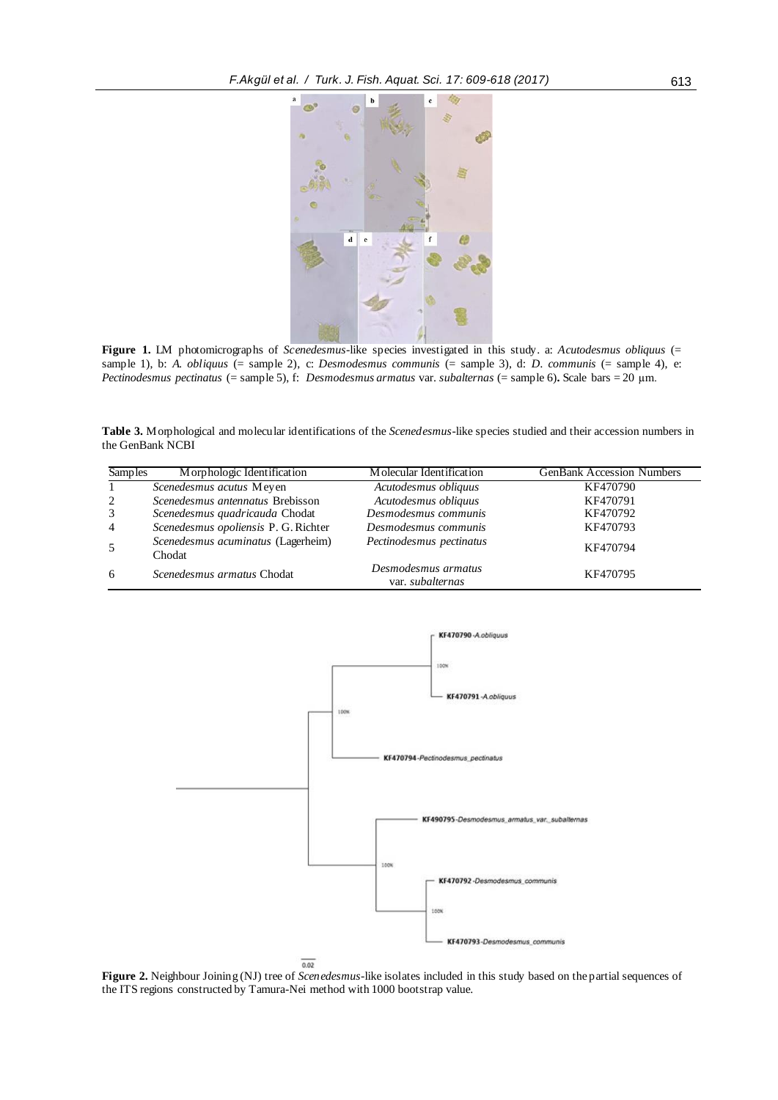

**Figure 1.** LM photomicrographs of *Scenedesmus*-like species investigated in this study. a: *Acutodesmus obliquus* (= sample 1), b: *A. obliquus* (= sample 2), c: *Desmodesmus communis* (= sample 3), d: *D. communis* (= sample 4), e: *Pectinodesmus pectinatus* (= sample 5), f: *Desmodesmus armatus* var. *subalternas* (= sample 6)**.** Scale bars = 20 µm.

**Table 3.** Morphological and molecular identifications of the *Scenedesmus*-like species studied and their accession numbers in the GenBank NCBI

| <b>Samples</b> | Morphologic Identification                   | Molecular Identification                | <b>GenBank Accession Numbers</b> |
|----------------|----------------------------------------------|-----------------------------------------|----------------------------------|
|                | Scenedesmus acutus Meyen                     | Acutodesmus obliquus                    | KF470790                         |
| 2              | Scenedesmus antennatus Brebisson             | Acutodesmus obliquus                    | KF470791                         |
| 3              | Scenedesmus quadricauda Chodat               | Desmodesmus communis                    | KF470792                         |
| $\overline{4}$ | Scenedesmus opoliensis P. G. Richter         | Desmodesmus communis                    | KF470793                         |
|                | Scenedesmus acuminatus (Lagerheim)<br>Chodat | Pectinodesmus pectinatus                | KF470794                         |
| 6              | Scenedesmus armatus Chodat                   | Desmodesmus armatus<br>var. subalternas | KF470795                         |



**Figure 2.** Neighbour Joining (NJ) tree of *Scenedesmus*-like isolates included in this study based on the partial sequences of the ITS regions constructed by Tamura-Nei method with 1000 bootstrap value.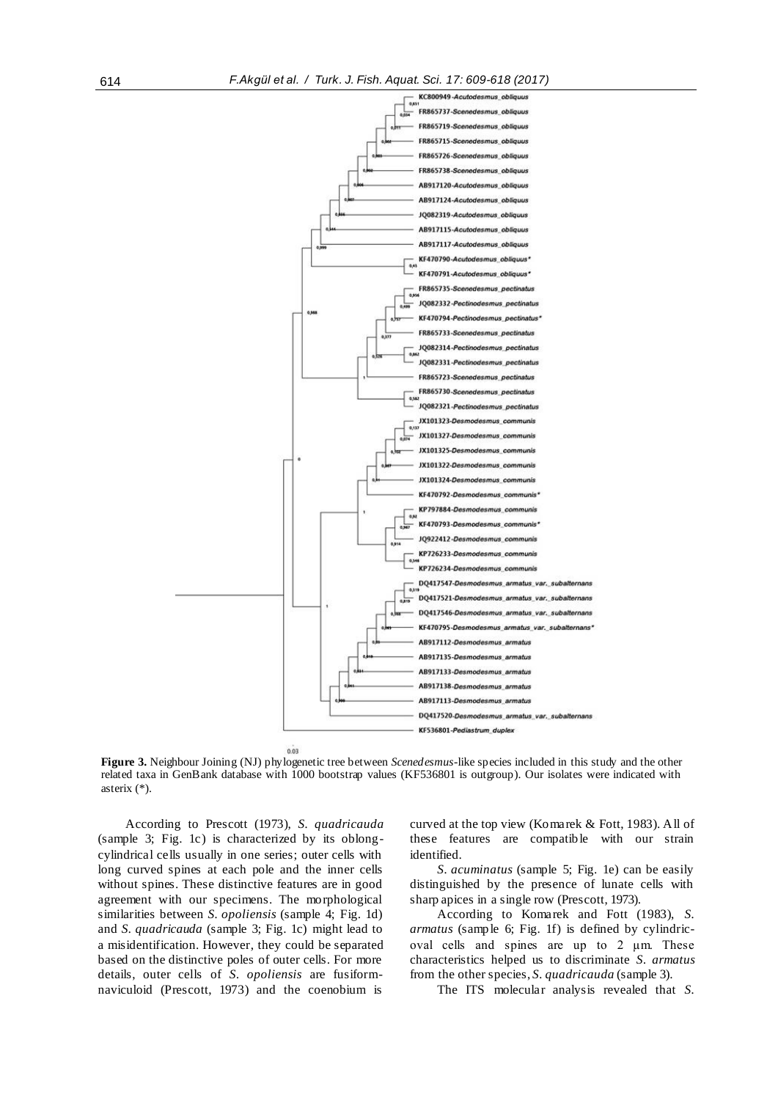

 $0.03$ 

**Figure 3.** Neighbour Joining (NJ) phylogenetic tree between *Scenedesmus*-like species included in this study and the other related taxa in GenBank database with 1000 bootstrap values (KF536801 is outgroup). Our isolates were indicated with asterix (\*).

According to Prescott (1973), *S. quadricauda* (sample 3; Fig. 1c) is characterized by its oblongcylindrical cells usually in one series; outer cells with long curved spines at each pole and the inner cells without spines. These distinctive features are in good agreement with our specimens. The morphological similarities between *S. opoliensis* (sample 4; Fig. 1d) and *S. quadricauda* (sample 3; Fig. 1c) might lead to a misidentification. However, they could be separated based on the distinctive poles of outer cells. For more details, outer cells of *S. opoliensis* are fusiformnaviculoid (Prescott, 1973) and the coenobium is

curved at the top view (Komarek & Fott, 1983). All of these features are compatible with our strain identified.

*S. acuminatus* (sample 5; Fig. 1e) can be easily distinguished by the presence of lunate cells with sharp apices in a single row (Prescott, 1973).

According to Komarek and Fott (1983), *S. armatus* (sample 6; Fig. 1f) is defined by cylindricoval cells and spines are up to 2 µm. These characteristics helped us to discriminate *S. armatus*  from the other species, *S. quadricauda* (sample 3).

The ITS molecular analysis revealed that *S.*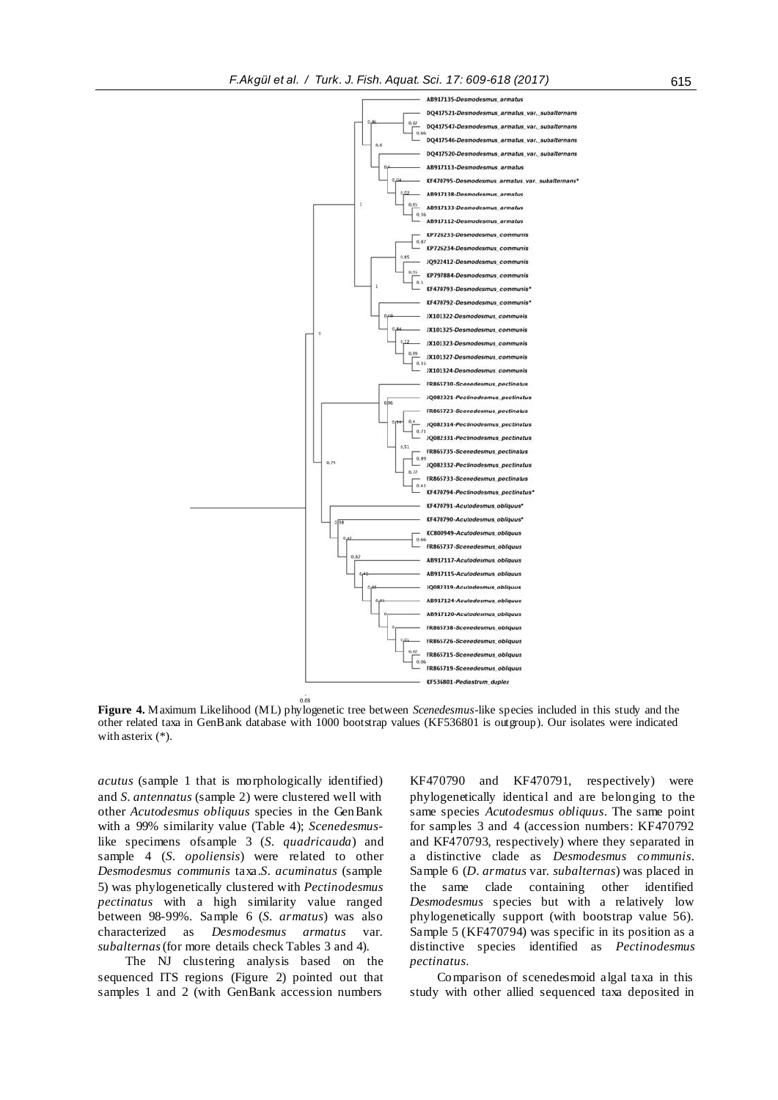

**Figure 4.** Maximum Likelihood (ML) phylogenetic tree between *Scenedesmus*-like species included in this study and the other related taxa in GenBank database with 1000 bootstrap values (KF536801 is outgroup). Our isolates were indicated with asterix (\*).

*acutus* (sample 1 that is morphologically identified) and *S. antennatus* (sample 2) were clustered well with other *Acutodesmus obliquus* species in the GenBank with a 99% similarity value (Table 4); *Scenedesmus*like specimens ofsample 3 (*S. quadricauda*) and sample 4 (*S. opoliensis*) were related to other *Desmodesmus communis* taxa.*S. acuminatus* (sample 5) was phylogenetically clustered with *Pectinodesmus pectinatus* with a high similarity value ranged between 98-99%. Sample 6 (*S. armatus*) was also characterized as *Desmodesmus armatus* var. *subalternas*(for more details check Tables 3 and 4).

The NJ clustering analysis based on the sequenced ITS regions (Figure 2) pointed out that samples 1 and 2 (with GenBank accession numbers

KF470790 and KF470791, respectively) were phylogenetically identical and are belonging to the same species *Acutodesmus obliquus*. The same point for samples 3 and 4 (accession numbers: KF470792 and KF470793, respectively) where they separated in a distinctive clade as *Desmodesmus communis*. Sample 6 (*D. armatus* var. *subalternas*) was placed in the same clade containing other identified *Desmodesmus* species but with a relatively low phylogenetically support (with bootstrap value 56). Sample 5 (KF470794) was specific in its position as a distinctive species identified as *Pectinodesmus pectinatus*.

Comparison of scenedesmoid algal taxa in this study with other allied sequenced taxa deposited in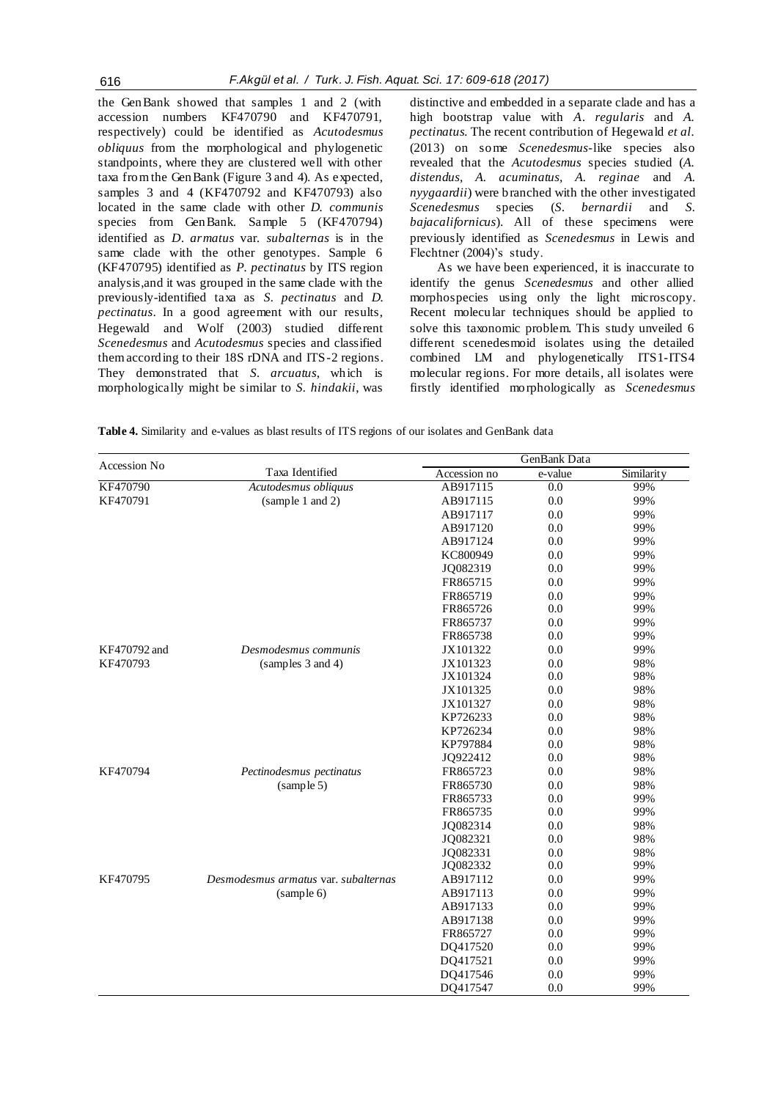the GenBank showed that samples 1 and 2 (with accession numbers KF470790 and KF470791, respectively) could be identified as *Acutodesmus obliquus* from the morphological and phylogenetic standpoints, where they are clustered well with other taxa from the GenBank (Figure 3 and 4). As expected, samples 3 and 4 (KF470792 and KF470793) also located in the same clade with other *D. communis* species from GenBank. Sample 5 (KF470794) identified as *D. armatus* var*. subalternas* is in the same clade with the other genotypes. Sample 6 (KF470795) identified as *P. pectinatus* by ITS region analysis,and it was grouped in the same clade with the previously-identified taxa as *S. pectinatus* and *D. pectinatus*. In a good agreement with our results, Hegewald and Wolf (2003) studied different *Scenedesmus* and *Acutodesmus* species and classified them according to their 18S rDNA and ITS-2 regions. They demonstrated that *S. arcuatus*, which is morphologically might be similar to *S. hindakii*, was

distinctive and embedded in a separate clade and has a high bootstrap value with *A. regularis* and *A. pectinatus.* The recent contribution of Hegewald *et al.*  (2013) on some *Scenedesmus*-like species also revealed that the *Acutodesmus* species studied (*A. distendus, A. acuminatus, A. reginae* and *A. nyygaardii*) were branched with the other investigated *Scenedesmus* species (*S. bernardii* and *S. bajacalifornicus*). All of these specimens were previously identified as *Scenedesmus* in Lewis and Flechtner (2004)'s study.

As we have been experienced, it is inaccurate to identify the genus *Scenedesmus* and other allied morphospecies using only the light microscopy. Recent molecular techniques should be applied to solve this taxonomic problem. This study unveiled 6 different scenedesmoid isolates using the detailed combined LM and phylogenetically ITS1-ITS4 molecular regions. For more details, all isolates were firstly identified morphologically as *Scenedesmus* 

**Table 4.** Similarity and e-values as blast results of ITS regions of our isolates and GenBank data

| Accession No |                                      | GenBank Data |         |            |  |
|--------------|--------------------------------------|--------------|---------|------------|--|
|              | Taxa Identified                      | Accession no | e-value | Similarity |  |
| KF470790     | Acutodesmus obliquus                 | AB917115     | 0.0     | 99%        |  |
| KF470791     | (sample 1 and 2)                     | AB917115     | 0.0     | 99%        |  |
|              |                                      | AB917117     | 0.0     | 99%        |  |
|              |                                      | AB917120     | 0.0     | 99%        |  |
|              |                                      | AB917124     | 0.0     | 99%        |  |
|              |                                      | KC800949     | 0.0     | 99%        |  |
|              |                                      | JQ082319     | 0.0     | 99%        |  |
|              |                                      | FR865715     | 0.0     | 99%        |  |
|              |                                      | FR865719     | 0.0     | 99%        |  |
|              |                                      | FR865726     | 0.0     | 99%        |  |
|              |                                      | FR865737     | 0.0     | 99%        |  |
|              |                                      | FR865738     | 0.0     | 99%        |  |
| KF470792 and | Desmodesmus communis                 | JX101322     | 0.0     | 99%        |  |
| KF470793     | (samples 3 and 4)                    | JX101323     | 0.0     | 98%        |  |
|              |                                      | JX101324     | 0.0     | 98%        |  |
|              |                                      | JX101325     | 0.0     | 98%        |  |
|              |                                      | JX101327     | 0.0     | 98%        |  |
|              |                                      | KP726233     | 0.0     | 98%        |  |
|              |                                      | KP726234     | 0.0     | 98%        |  |
|              |                                      | KP797884     | 0.0     | 98%        |  |
|              |                                      | JQ922412     | $0.0\,$ | 98%        |  |
| KF470794     | Pectinodesmus pectinatus             | FR865723     | 0.0     | 98%        |  |
|              | (sample 5)                           | FR865730     | 0.0     | 98%        |  |
|              |                                      | FR865733     | 0.0     | 99%        |  |
|              |                                      | FR865735     | 0.0     | 99%        |  |
|              |                                      | JQ082314     | 0.0     | 98%        |  |
|              |                                      | JQ082321     | 0.0     | 98%        |  |
|              |                                      | JQ082331     | 0.0     | 98%        |  |
|              |                                      | JQ082332     | 0.0     | 99%        |  |
| KF470795     | Desmodesmus armatus var. subalternas | AB917112     | 0.0     | 99%        |  |
|              | (sample 6)                           | AB917113     | 0.0     | 99%        |  |
|              |                                      | AB917133     | 0.0     | 99%        |  |
|              |                                      | AB917138     | 0.0     | 99%        |  |
|              |                                      | FR865727     | 0.0     | 99%        |  |
|              |                                      | DQ417520     | 0.0     | 99%        |  |
|              |                                      | DQ417521     | 0.0     | 99%        |  |
|              |                                      | DQ417546     | 0.0     | 99%        |  |
|              |                                      | DQ417547     | 0.0     | 99%        |  |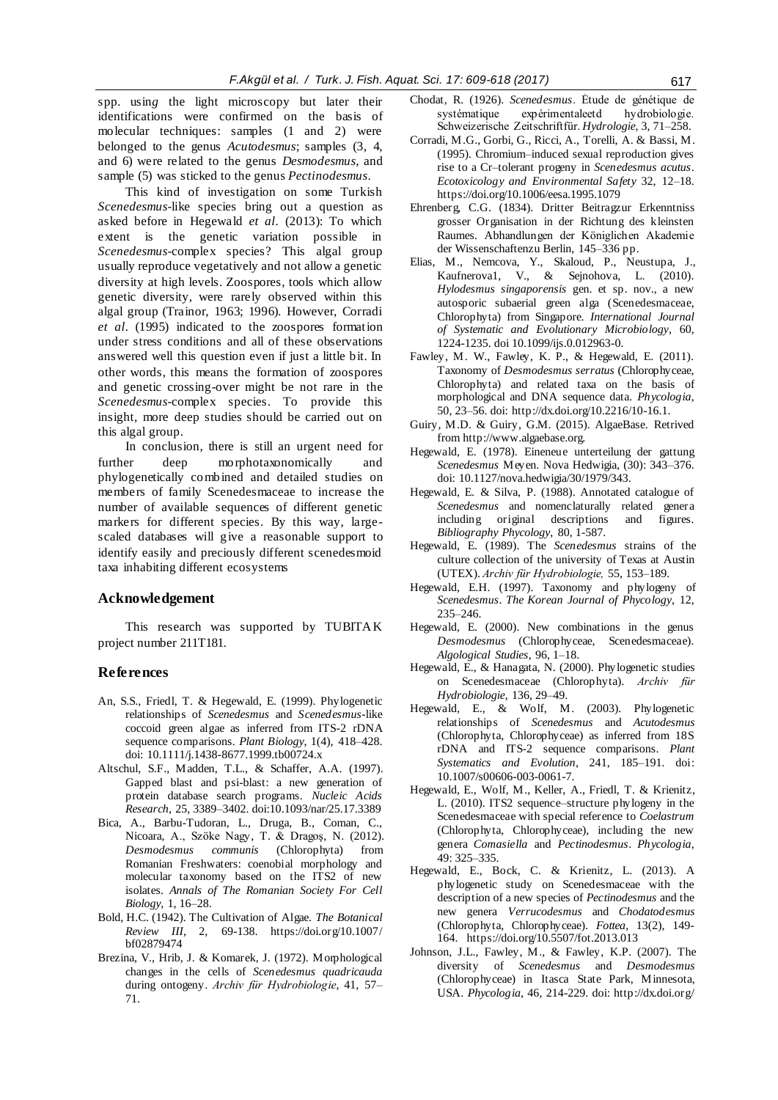spp*.* usin*g* the light microscopy but later their identifications were confirmed on the basis of molecular techniques: samples (1 and 2) were belonged to the genus *Acutodesmus*; samples (3, 4, and 6) were related to the genus *Desmodesmus*, and sample (5) was sticked to the genus *Pectinodesmus*.

This kind of investigation on some Turkish *Scenedesmus*-like species bring out a question as asked before in Hegewald *et al.* (2013): To which extent is the genetic variation possible in *Scenedesmus*-complex species? This algal group usually reproduce vegetatively and not allow a genetic diversity at high levels. Zoospores, tools which allow genetic diversity, were rarely observed within this algal group (Trainor, 1963; 1996). However, Corradi *et al.* (1995) indicated to the zoospores formation under stress conditions and all of these observations answered well this question even if just a little bit. In other words, this means the formation of zoospores and genetic crossing-over might be not rare in the *Scenedesmus*-complex species. To provide this insight, more deep studies should be carried out on this algal group.

In conclusion, there is still an urgent need for further deep morphotaxonomically and phylogenetically combined and detailed studies on members of family Scenedesmaceae to increase the number of available sequences of different genetic markers for different species. By this way, largescaled databases will give a reasonable support to identify easily and preciously different scenedesmoid taxa inhabiting different ecosystems

## **Acknowledgement**

This research was supported by TUBITAK project number 211T181.

#### **References**

- An, S.S., Friedl, T. & Hegewald, E. (1999). Phylogenetic relationships of *Scenedesmus* and *Scenedesmus*-like coccoid green algae as inferred from ITS-2 rDNA sequence comparisons. *Plant Biology*, 1(4), 418–428. doi: 10.1111/j.1438-8677.1999.tb00724.x
- Altschul, S.F., Madden, T.L., & Schaffer, A.A. (1997). Gapped blast and psi-blast: a new generation of protein database search programs. *Nucleic Acids Research*, 25, 3389–3402. doi:10.1093/nar/25.17.3389
- Bica, A., Barbu-Tudoran, L., Druga, B., Coman, C., Nicoara, A., Szöke Nagy, T. & Dragoş, N. (2012). *Desmodesmus communis* (Chlorophyta) from Romanian Freshwaters: coenobial morphology and molecular taxonomy based on the ITS2 of new isolates. *Annals of The Romanian Society For Cell Biology*, 1, 16–28.
- Bold, H.C. (1942). The Cultivation of Algae. *The Botanical Review III*, 2, 69-138. https://doi.org/10.1007/ bf02879474
- Brezina, V., Hrib, J. & Komarek, J. (1972). Morphological changes in the cells of *Scenedesmus quadricauda* during ontogeny. *Archiv für Hydrobiologie*, 41, 57– 71.
- Chodat, R. (1926). *Scenedesmus*. Étude de génétique de systématique expérimentaleetd hydrobiologie. Schweizerische Zeitschriftfür. *Hydrologie*, 3, 71–258.
- Corradi, M.G., Gorbi, G., Ricci, A., Torelli, A. & Bassi, M. (1995). Chromium–induced sexual reproduction gives rise to a Cr–tolerant progeny in *Scenedesmus acutus*. *Ecotoxicology and Environmental Safety* 32, 12–18. https://doi.org/10.1006/eesa.1995.1079
- Ehrenberg, C.G. (1834). Dritter Beitragzur Erkenntniss grosser Organisation in der Richtung des kleinsten Raumes. Abhandlungen der Königlichen Akademie der Wissenschaftenzu Berlin, 145–336 pp.
- Elias, M., Nemcova, Y., Skaloud, P., Neustupa, J., Kaufnerova1, V., & Sejnohova, L. (2010). *Hylodesmus singaporensis* gen. et sp. nov., a new autosporic subaerial green alga (Scenedesmaceae, Chlorophyta) from Singapore. *International Journal of Systematic and Evolutionary Microbiology*, 60, 1224-1235. doi 10.1099/ijs.0.012963-0.
- Fawley, M. W., Fawley, K. P., & Hegewald, E. (2011). Taxonomy of *Desmodesmus serratus* (Chlorophyceae, Chlorophyta) and related taxa on the basis of morphological and DNA sequence data. *Phycologia*, 50, 23–56. doi: http://dx.doi.org/10.2216/10-16.1.
- Guiry, M.D. & Guiry, G.M. (2015). AlgaeBase. Retrived fro[m http://www.algaebase.org.](http://www.algaebase.org/)
- Hegewald, E. (1978). Eineneue unterteilung der gattung *Scenedesmus* Meyen. Nova Hedwigia, (30): 343–376. doi: 10.1127/nova.hedwigia/30/1979/343.
- Hegewald, E. & Silva, P. (1988). Annotated catalogue of *Scenedesmus* and nomenclaturally related genera including original descriptions and figures*. Bibliography Phycology*, 80, 1-587.
- Hegewald, E. (1989). The *Scenedesmus* strains of the culture collection of the university of Texas at Austin (UTEX). *Archiv für Hydrobiologie,* 55, 153–189.
- Hegewald, E.H. (1997). Taxonomy and phylogeny of *Scenedesmus*. *The Korean Journal of Phycology*, 12, 235–246.
- Hegewald, E. (2000). New combinations in the genus *Desmodesmus* (Chlorophyceae, Scenedesmaceae). *Algological Studies*, 96, 1–18.
- Hegewald, E., & Hanagata, N. (2000). Phylogenetic studies on Scenedesmaceae (Chlorophyta). *Archiv für Hydrobiologie*, 136, 29–49.
- Hegewald, E., & Wolf, M. (2003). Phylogenetic relationships of *Scenedesmus* and *Acutodesmus* (Chlorophyta, Chlorophyceae) as inferred from 18S rDNA and ITS-2 sequence comparisons. *Plant Systematics and Evolution*, 241, 185–191. doi: 10.1007/s00606-003-0061-7.
- Hegewald, E., Wolf, M., Keller, A., Friedl, T. & Krienitz, L. (2010). ITS2 sequence–structure phylogeny in the Scenedesmaceae with special reference to *Coelastrum*  (Chlorophyta, Chlorophyceae), including the new genera *Comasiella* and *Pectinodesmus*. *Phycologia*, 49: 325–335.
- Hegewald, E., Bock, C. & Krienitz, L. (2013). A phylogenetic study on Scenedesmaceae with the description of a new species of *Pectinodesmus* and the new genera *Verrucodesmus* and *Chodatodesmus* (Chlorophyta, Chlorophyceae). *Fottea*, 13(2), 149- 164. https://doi.org/10.5507/fot.2013.013
- Johnson, J.L., Fawley, M., & Fawley, K.P. (2007). The diversity of *Scenedesmus* and *Desmodesmus* (Chlorophyceae) in Itasca State Park, Minnesota, USA. *Phycologia*, 46, 214-229. doi: http://dx.doi.org/